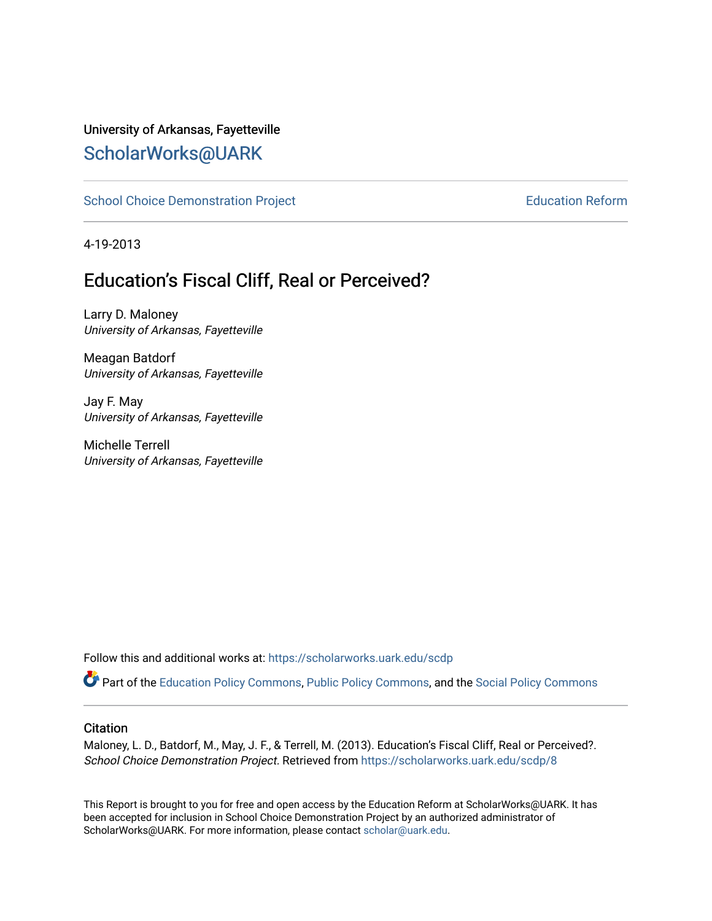### University of Arkansas, Fayetteville [ScholarWorks@UARK](https://scholarworks.uark.edu/)

[School Choice Demonstration Project](https://scholarworks.uark.edu/scdp) **Education Reform** Education Reform

4-19-2013

## Education's Fiscal Cliff, Real or Perceived?

Larry D. Maloney University of Arkansas, Fayetteville

Meagan Batdorf University of Arkansas, Fayetteville

Jay F. May University of Arkansas, Fayetteville

Michelle Terrell University of Arkansas, Fayetteville

Follow this and additional works at: [https://scholarworks.uark.edu/scdp](https://scholarworks.uark.edu/scdp?utm_source=scholarworks.uark.edu%2Fscdp%2F8&utm_medium=PDF&utm_campaign=PDFCoverPages) 

Part of the [Education Policy Commons](http://network.bepress.com/hgg/discipline/1026?utm_source=scholarworks.uark.edu%2Fscdp%2F8&utm_medium=PDF&utm_campaign=PDFCoverPages), [Public Policy Commons](http://network.bepress.com/hgg/discipline/400?utm_source=scholarworks.uark.edu%2Fscdp%2F8&utm_medium=PDF&utm_campaign=PDFCoverPages), and the [Social Policy Commons](http://network.bepress.com/hgg/discipline/1030?utm_source=scholarworks.uark.edu%2Fscdp%2F8&utm_medium=PDF&utm_campaign=PDFCoverPages)

#### **Citation**

Maloney, L. D., Batdorf, M., May, J. F., & Terrell, M. (2013). Education's Fiscal Cliff, Real or Perceived?. School Choice Demonstration Project. Retrieved from [https://scholarworks.uark.edu/scdp/8](https://scholarworks.uark.edu/scdp/8?utm_source=scholarworks.uark.edu%2Fscdp%2F8&utm_medium=PDF&utm_campaign=PDFCoverPages)

This Report is brought to you for free and open access by the Education Reform at ScholarWorks@UARK. It has been accepted for inclusion in School Choice Demonstration Project by an authorized administrator of ScholarWorks@UARK. For more information, please contact [scholar@uark.edu](mailto:scholar@uark.edu).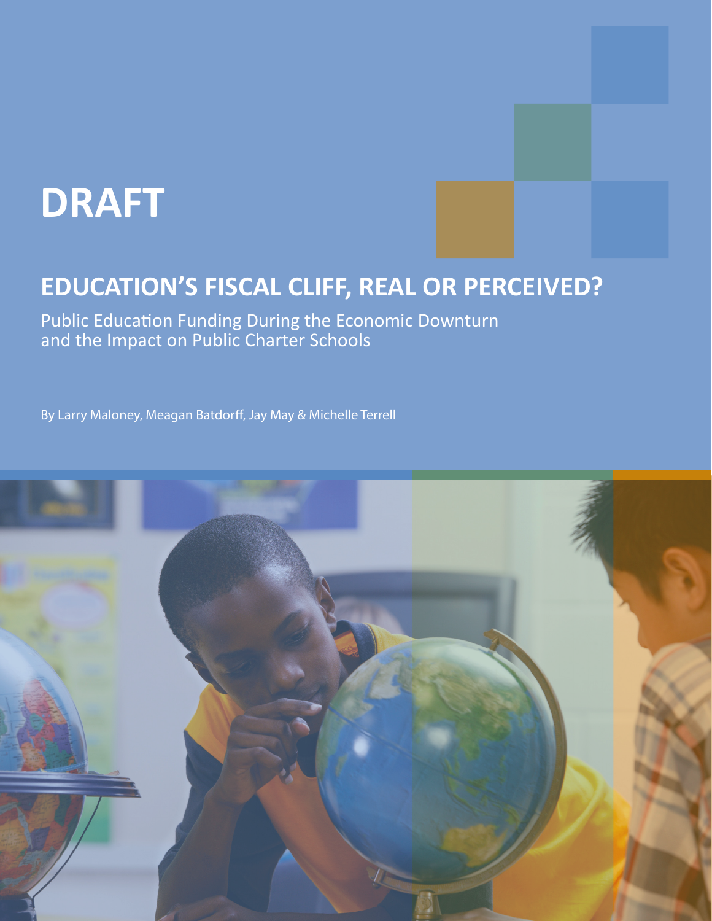# **DRAFT**

# **EDUCATION'S FISCAL CLIFF, REAL OR PERCEIVED?**

Public Education Funding During the Economic Downturn and the Impact on Public Charter Schools

By Larry Maloney, Meagan Batdorff, Jay May & Michelle Terrell

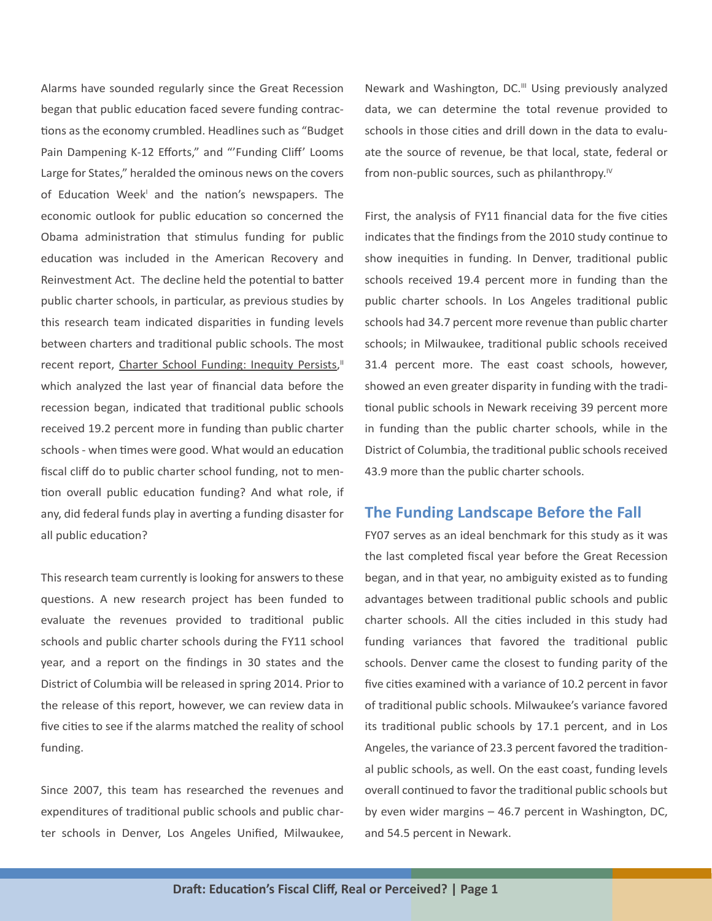Alarms have sounded regularly since the Great Recession began that public education faced severe funding contractions as the economy crumbled. Headlines such as "Budget Pain Dampening K-12 Efforts," and "'Funding Cliff' Looms Large for States," heralded the ominous news on the covers of Education Week' and the nation's newspapers. The economic outlook for public education so concerned the Obama administration that stimulus funding for public education was included in the American Recovery and Reinvestment Act. The decline held the potential to batter public charter schools, in particular, as previous studies by this research team indicated disparities in funding levels between charters and traditional public schools. The most recent report, Charter School Funding: Inequity Persists," which analyzed the last year of financial data before the recession began, indicated that traditional public schools received 19.2 percent more in funding than public charter schools - when times were good. What would an education fiscal cliff do to public charter school funding, not to mention overall public education funding? And what role, if any, did federal funds play in averting a funding disaster for all public education?

This research team currently is looking for answers to these questions. A new research project has been funded to evaluate the revenues provided to traditional public schools and public charter schools during the FY11 school year, and a report on the findings in 30 states and the District of Columbia will be released in spring 2014. Prior to the release of this report, however, we can review data in five cities to see if the alarms matched the reality of school funding.

Since 2007, this team has researched the revenues and expenditures of traditional public schools and public charter schools in Denver, Los Angeles Unified, Milwaukee,

Newark and Washington, DC.<sup>III</sup> Using previously analyzed data, we can determine the total revenue provided to schools in those cities and drill down in the data to evaluate the source of revenue, be that local, state, federal or from non-public sources, such as philanthropy.<sup> $iv$ </sup>

First, the analysis of FY11 financial data for the five cities indicates that the findings from the 2010 study continue to show inequities in funding. In Denver, traditional public schools received 19.4 percent more in funding than the public charter schools. In Los Angeles traditional public schools had 34.7 percent more revenue than public charter schools; in Milwaukee, traditional public schools received 31.4 percent more. The east coast schools, however, showed an even greater disparity in funding with the traditional public schools in Newark receiving 39 percent more in funding than the public charter schools, while in the District of Columbia, the traditional public schools received 43.9 more than the public charter schools.

#### **The Funding Landscape Before the Fall**

FY07 serves as an ideal benchmark for this study as it was the last completed fiscal year before the Great Recession began, and in that year, no ambiguity existed as to funding advantages between traditional public schools and public charter schools. All the cities included in this study had funding variances that favored the traditional public schools. Denver came the closest to funding parity of the five cities examined with a variance of 10.2 percent in favor of traditional public schools. Milwaukee's variance favored its traditional public schools by 17.1 percent, and in Los Angeles, the variance of 23.3 percent favored the traditional public schools, as well. On the east coast, funding levels overall continued to favor the traditional public schools but by even wider margins – 46.7 percent in Washington, DC, and 54.5 percent in Newark.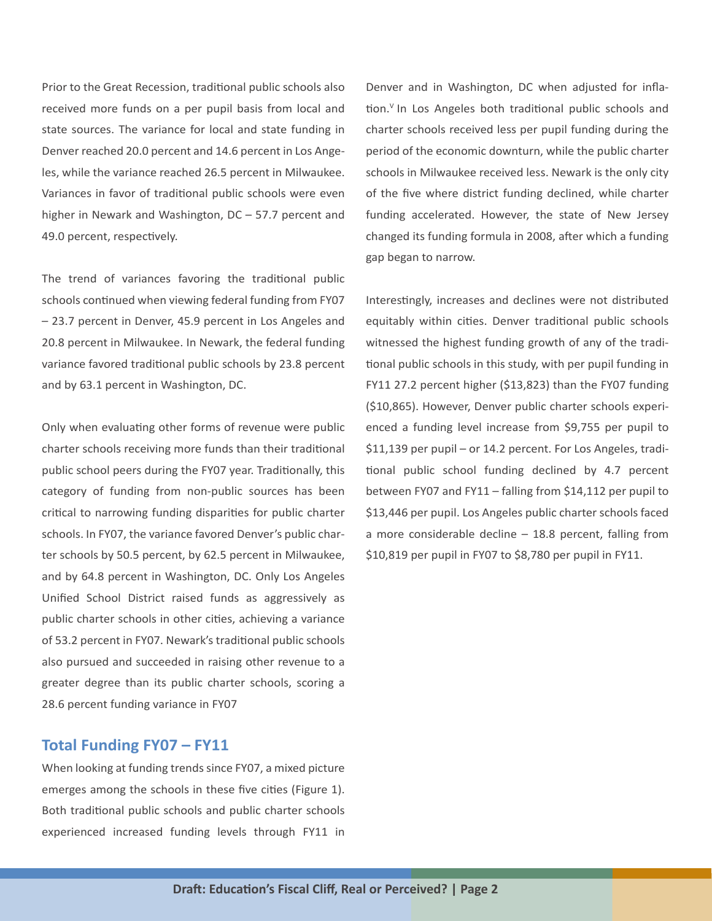Prior to the Great Recession, traditional public schools also received more funds on a per pupil basis from local and state sources. The variance for local and state funding in Denver reached 20.0 percent and 14.6 percent in Los Angeles, while the variance reached 26.5 percent in Milwaukee. Variances in favor of traditional public schools were even higher in Newark and Washington, DC – 57.7 percent and 49.0 percent, respectively.

The trend of variances favoring the traditional public schools continued when viewing federal funding from FY07 – 23.7 percent in Denver, 45.9 percent in Los Angeles and 20.8 percent in Milwaukee. In Newark, the federal funding variance favored traditional public schools by 23.8 percent and by 63.1 percent in Washington, DC.

Only when evaluating other forms of revenue were public charter schools receiving more funds than their traditional public school peers during the FY07 year. Traditionally, this category of funding from non-public sources has been critical to narrowing funding disparities for public charter schools. In FY07, the variance favored Denver's public charter schools by 50.5 percent, by 62.5 percent in Milwaukee, and by 64.8 percent in Washington, DC. Only Los Angeles Unified School District raised funds as aggressively as public charter schools in other cities, achieving a variance of 53.2 percent in FY07. Newark's traditional public schools also pursued and succeeded in raising other revenue to a greater degree than its public charter schools, scoring a 28.6 percent funding variance in FY07

#### **Total Funding FY07 – FY11**

When looking at funding trends since FY07, a mixed picture emerges among the schools in these five cities (Figure 1). Both traditional public schools and public charter schools experienced increased funding levels through FY11 in Denver and in Washington, DC when adjusted for inflation.<sup>V</sup> In Los Angeles both traditional public schools and charter schools received less per pupil funding during the period of the economic downturn, while the public charter schools in Milwaukee received less. Newark is the only city of the five where district funding declined, while charter funding accelerated. However, the state of New Jersey changed its funding formula in 2008, after which a funding gap began to narrow.

Interestingly, increases and declines were not distributed equitably within cities. Denver traditional public schools witnessed the highest funding growth of any of the traditional public schools in this study, with per pupil funding in FY11 27.2 percent higher (\$13,823) than the FY07 funding (\$10,865). However, Denver public charter schools experienced a funding level increase from \$9,755 per pupil to \$11,139 per pupil – or 14.2 percent. For Los Angeles, traditional public school funding declined by 4.7 percent between FY07 and FY11 – falling from \$14,112 per pupil to \$13,446 per pupil. Los Angeles public charter schools faced a more considerable decline – 18.8 percent, falling from \$10,819 per pupil in FY07 to \$8,780 per pupil in FY11.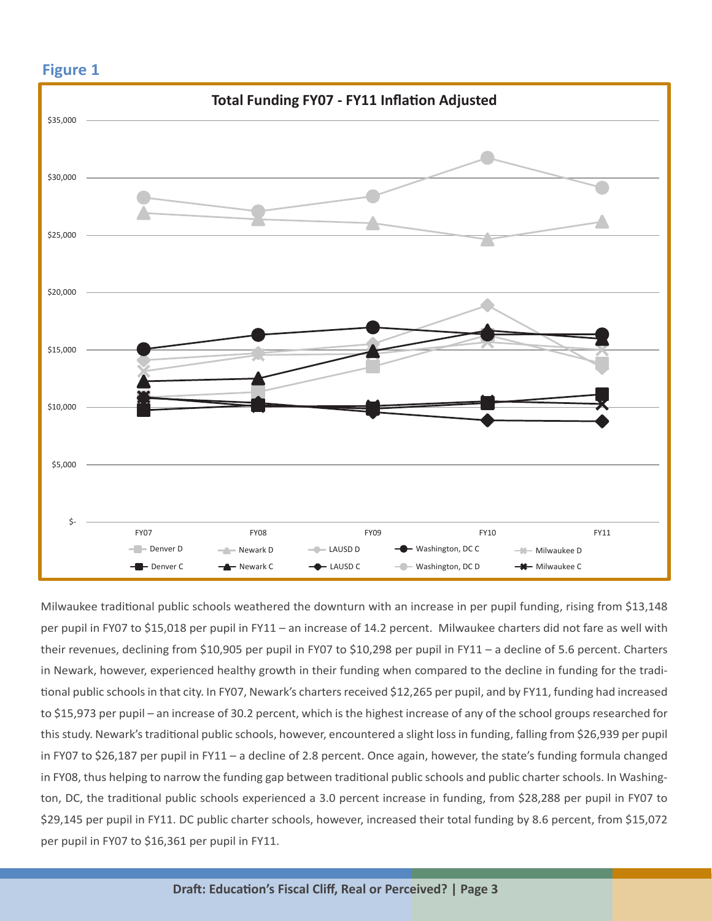

Milwaukee traditional public schools weathered the downturn with an increase in per pupil funding, rising from \$13,148 per pupil in FY07 to \$15,018 per pupil in FY11 – an increase of 14.2 percent. Milwaukee charters did not fare as well with their revenues, declining from \$10,905 per pupil in FY07 to \$10,298 per pupil in FY11 – a decline of 5.6 percent. Charters in Newark, however, experienced healthy growth in their funding when compared to the decline in funding for the traditional public schools in that city. In FY07, Newark's charters received \$12,265 per pupil, and by FY11, funding had increased to \$15,973 per pupil – an increase of 30.2 percent, which is the highest increase of any of the school groups researched for this study. Newark's traditional public schools, however, encountered a slight loss in funding, falling from \$26,939 per pupil in FY07 to \$26,187 per pupil in FY11 – a decline of 2.8 percent. Once again, however, the state's funding formula changed in FY08, thus helping to narrow the funding gap between traditional public schools and public charter schools. In Washington, DC, the traditional public schools experienced a 3.0 percent increase in funding, from \$28,288 per pupil in FY07 to \$29,145 per pupil in FY11. DC public charter schools, however, increased their total funding by 8.6 percent, from \$15,072 per pupil in FY07 to \$16,361 per pupil in FY11.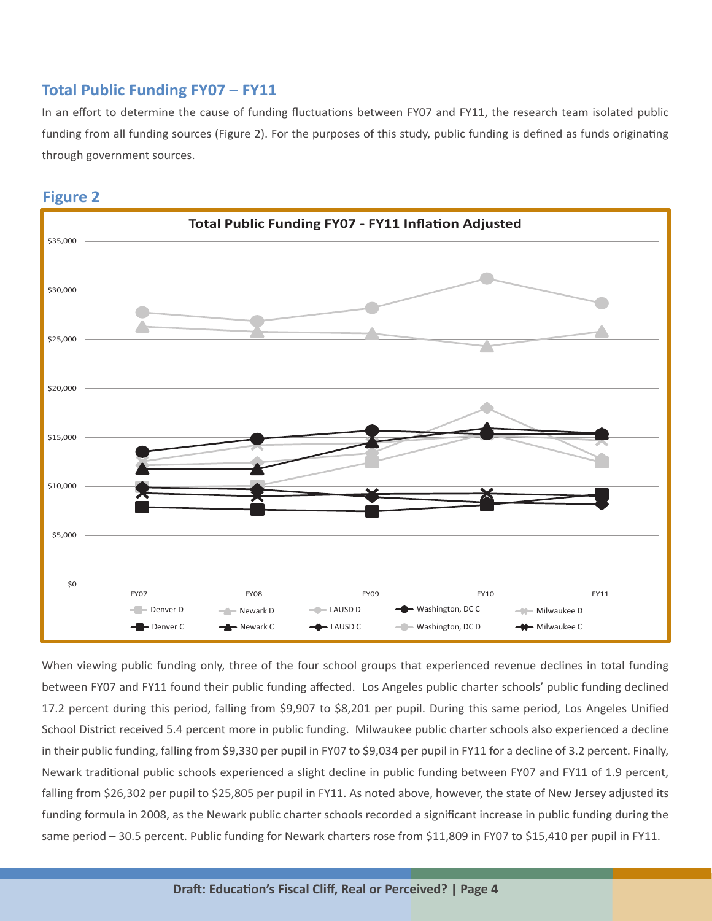#### **Total Public Funding FY07 – FY11**

In an effort to determine the cause of funding fluctuations between FY07 and FY11, the research team isolated public funding from all funding sources (Figure 2). For the purposes of this study, public funding is defined as funds originating through government sources.



**Figure 2**

When viewing public funding only, three of the four school groups that experienced revenue declines in total funding between FY07 and FY11 found their public funding affected. Los Angeles public charter schools' public funding declined 17.2 percent during this period, falling from \$9,907 to \$8,201 per pupil. During this same period, Los Angeles Unified School District received 5.4 percent more in public funding. Milwaukee public charter schools also experienced a decline in their public funding, falling from \$9,330 per pupil in FY07 to \$9,034 per pupil in FY11 for a decline of 3.2 percent. Finally, Newark traditional public schools experienced a slight decline in public funding between FY07 and FY11 of 1.9 percent, falling from \$26,302 per pupil to \$25,805 per pupil in FY11. As noted above, however, the state of New Jersey adjusted its funding formula in 2008, as the Newark public charter schools recorded a significant increase in public funding during the same period – 30.5 percent. Public funding for Newark charters rose from \$11,809 in FY07 to \$15,410 per pupil in FY11.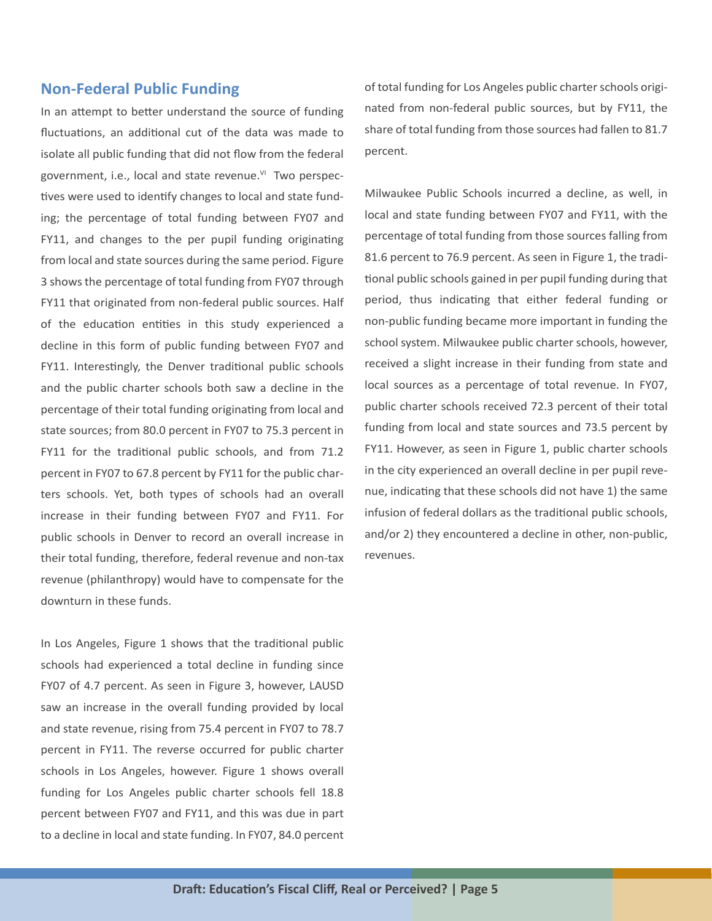#### **Non-Federal Public Funding**

In an attempt to better understand the source of funding fluctuations, an additional cut of the data was made to isolate all public funding that did not flow from the federal government, i.e., local and state revenue.<sup>VI</sup> Two perspectives were used to identify changes to local and state funding; the percentage of total funding between FY07 and FY11, and changes to the per pupil funding originating from local and state sources during the same period. Figure 3 shows the percentage of total funding from FY07 through FY11 that originated from non-federal public sources. Half of the education entities in this study experienced a decline in this form of public funding between FY07 and FY11. Interestingly, the Denver traditional public schools and the public charter schools both saw a decline in the percentage of their total funding originating from local and state sources; from 80.0 percent in FY07 to 75.3 percent in FY11 for the traditional public schools, and from 71.2 percent in FY07 to 67.8 percent by FY11 for the public charters schools. Yet, both types of schools had an overall increase in their funding between FY07 and FY11. For public schools in Denver to record an overall increase in their total funding, therefore, federal revenue and non-tax revenue (philanthropy) would have to compensate for the downturn in these funds.

In Los Angeles, Figure 1 shows that the traditional public schools had experienced a total decline in funding since FY07 of 4.7 percent. As seen in Figure 3, however, LAUSD saw an increase in the overall funding provided by local and state revenue, rising from 75.4 percent in FY07 to 78.7 percent in FY11. The reverse occurred for public charter schools in Los Angeles, however. Figure 1 shows overall funding for Los Angeles public charter schools fell 18.8 percent between FY07 and FY11, and this was due in part to a decline in local and state funding. In FY07, 84.0 percent of total funding for Los Angeles public charter schools originated from non-federal public sources, but by FY11, the share of total funding from those sources had fallen to 81.7 percent.

Milwaukee Public Schools incurred a decline, as well, in local and state funding between FY07 and FY11, with the percentage of total funding from those sources falling from 81.6 percent to 76.9 percent. As seen in Figure 1, the traditional public schools gained in per pupil funding during that period, thus indicating that either federal funding or non-public funding became more important in funding the school system. Milwaukee public charter schools, however, received a slight increase in their funding from state and local sources as a percentage of total revenue. In FY07, public charter schools received 72.3 percent of their total funding from local and state sources and 73.5 percent by FY11. However, as seen in Figure 1, public charter schools in the city experienced an overall decline in per pupil revenue, indicating that these schools did not have 1) the same infusion of federal dollars as the traditional public schools, and/or 2) they encountered a decline in other, non-public, revenues.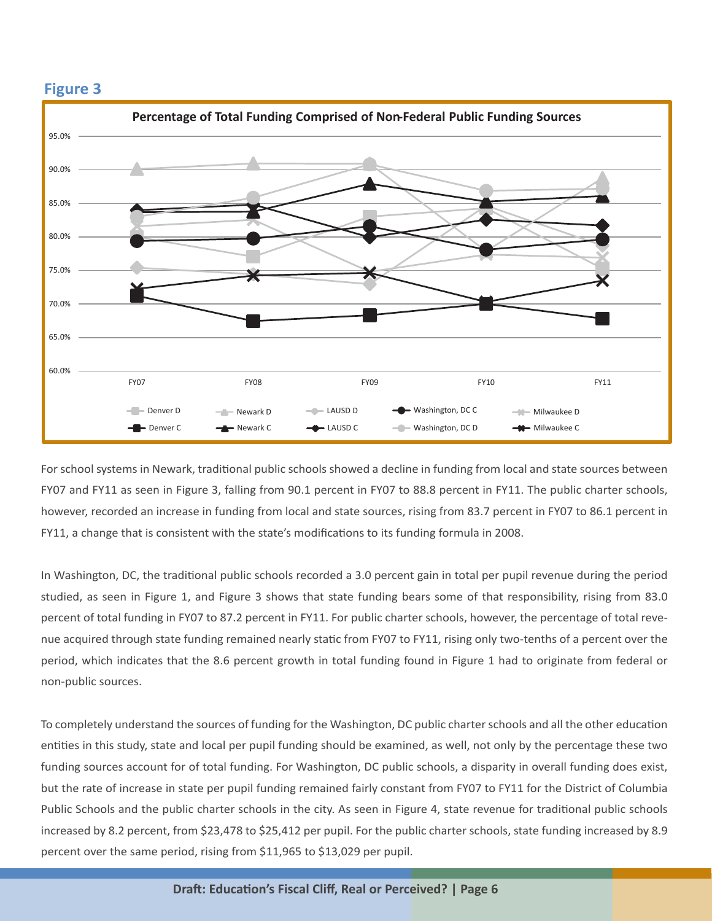

For school systems in Newark, traditional public schools showed a decline in funding from local and state sources between FY07 and FY11 as seen in Figure 3, falling from 90.1 percent in FY07 to 88.8 percent in FY11. The public charter schools, however, recorded an increase in funding from local and state sources, rising from 83.7 percent in FY07 to 86.1 percent in FY11, a change that is consistent with the state's modifications to its funding formula in 2008.

In Washington, DC, the traditional public schools recorded a 3.0 percent gain in total per pupil revenue during the period studied, as seen in Figure 1, and Figure 3 shows that state funding bears some of that responsibility, rising from 83.0 percent of total funding in FY07 to 87.2 percent in FY11. For public charter schools, however, the percentage of total revenue acquired through state funding remained nearly static from FY07 to FY11, rising only two-tenths of a percent over the period, which indicates that the 8.6 percent growth in total funding found in Figure 1 had to originate from federal or non-public sources.

To completely understand the sources of funding for the Washington, DC public charter schools and all the other education entities in this study, state and local per pupil funding should be examined, as well, not only by the percentage these two funding sources account for of total funding. For Washington, DC public schools, a disparity in overall funding does exist, but the rate of increase in state per pupil funding remained fairly constant from FY07 to FY11 for the District of Columbia Public Schools and the public charter schools in the city. As seen in Figure 4, state revenue for traditional public schools increased by 8.2 percent, from \$23,478 to \$25,412 per pupil. For the public charter schools, state funding increased by 8.9 percent over the same period, rising from \$11,965 to \$13,029 per pupil.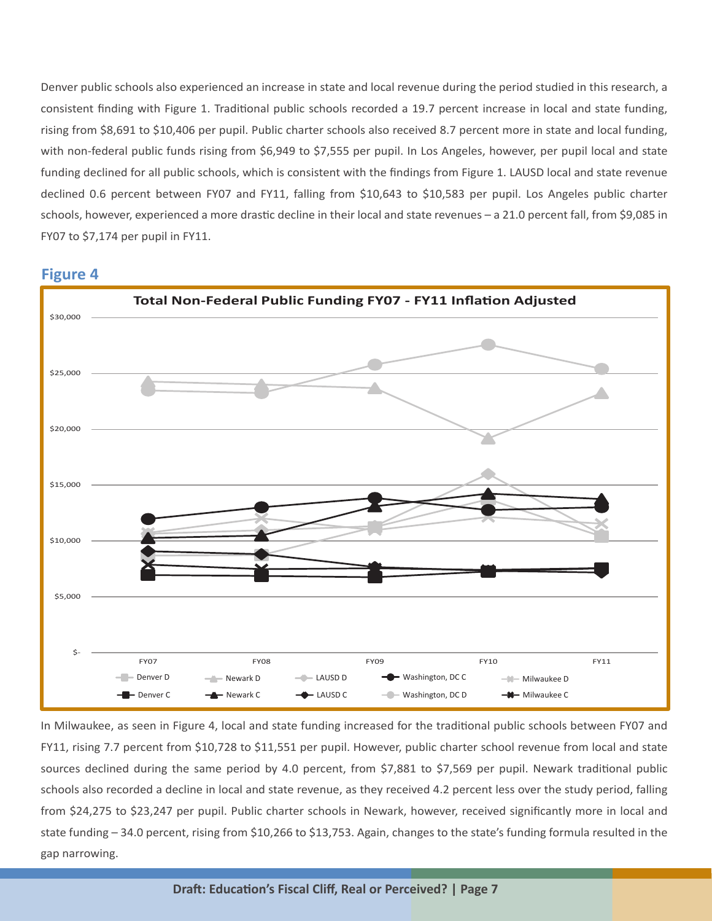Denver public schools also experienced an increase in state and local revenue during the period studied in this research, a consistent finding with Figure 1. Traditional public schools recorded a 19.7 percent increase in local and state funding, rising from \$8,691 to \$10,406 per pupil. Public charter schools also received 8.7 percent more in state and local funding, with non-federal public funds rising from \$6,949 to \$7,555 per pupil. In Los Angeles, however, per pupil local and state funding declined for all public schools, which is consistent with the findings from Figure 1. LAUSD local and state revenue declined 0.6 percent between FY07 and FY11, falling from \$10,643 to \$10,583 per pupil. Los Angeles public charter schools, however, experienced a more drastic decline in their local and state revenues - a 21.0 percent fall, from \$9,085 in FY07 to \$7,174 per pupil in FY11.

#### **Figure 4**



In Milwaukee, as seen in Figure 4, local and state funding increased for the traditional public schools between FY07 and FY11, rising 7.7 percent from \$10,728 to \$11,551 per pupil. However, public charter school revenue from local and state sources declined during the same period by 4.0 percent, from \$7,881 to \$7,569 per pupil. Newark traditional public schools also recorded a decline in local and state revenue, as they received 4.2 percent less over the study period, falling from \$24,275 to \$23,247 per pupil. Public charter schools in Newark, however, received significantly more in local and state funding  $-34.0$  percent, rising from \$10,266 to \$13,753. Again, changes to the state's funding formula resulted in the gap narrowing.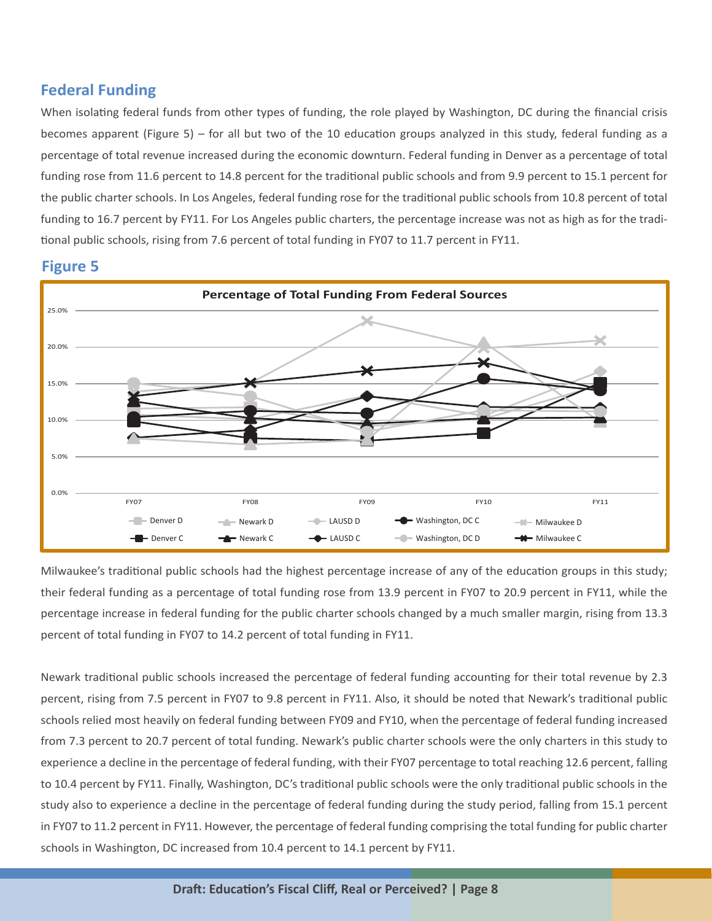#### **Federal Funding**

When isolating federal funds from other types of funding, the role played by Washington, DC during the financial crisis becomes apparent (Figure 5) – for all but two of the 10 education groups analyzed in this study, federal funding as a percentage of total revenue increased during the economic downturn. Federal funding in Denver as a percentage of total funding rose from 11.6 percent to 14.8 percent for the traditional public schools and from 9.9 percent to 15.1 percent for the public charter schools. In Los Angeles, federal funding rose for the traditional public schools from 10.8 percent of total funding to 16.7 percent by FY11. For Los Angeles public charters, the percentage increase was not as high as for the traditional public schools, rising from 7.6 percent of total funding in FY07 to 11.7 percent in FY11.



#### **Figure 5**

Milwaukee's traditional public schools had the highest percentage increase of any of the education groups in this study; their federal funding as a percentage of total funding rose from 13.9 percent in FY07 to 20.9 percent in FY11, while the percentage increase in federal funding for the public charter schools changed by a much smaller margin, rising from 13.3 percent of total funding in FY07 to 14.2 percent of total funding in FY11.

Newark traditional public schools increased the percentage of federal funding accounting for their total revenue by 2.3 percent, rising from 7.5 percent in FY07 to 9.8 percent in FY11. Also, it should be noted that Newark's traditional public schools relied most heavily on federal funding between FY09 and FY10, when the percentage of federal funding increased from 7.3 percent to 20.7 percent of total funding. Newark's public charter schools were the only charters in this study to experience a decline in the percentage of federal funding, with their FY07 percentage to total reaching 12.6 percent, falling to 10.4 percent by FY11. Finally, Washington, DC's traditional public schools were the only traditional public schools in the study also to experience a decline in the percentage of federal funding during the study period, falling from 15.1 percent in FY07 to 11.2 percent in FY11. However, the percentage of federal funding comprising the total funding for public charter schools in Washington, DC increased from 10.4 percent to 14.1 percent by FY11.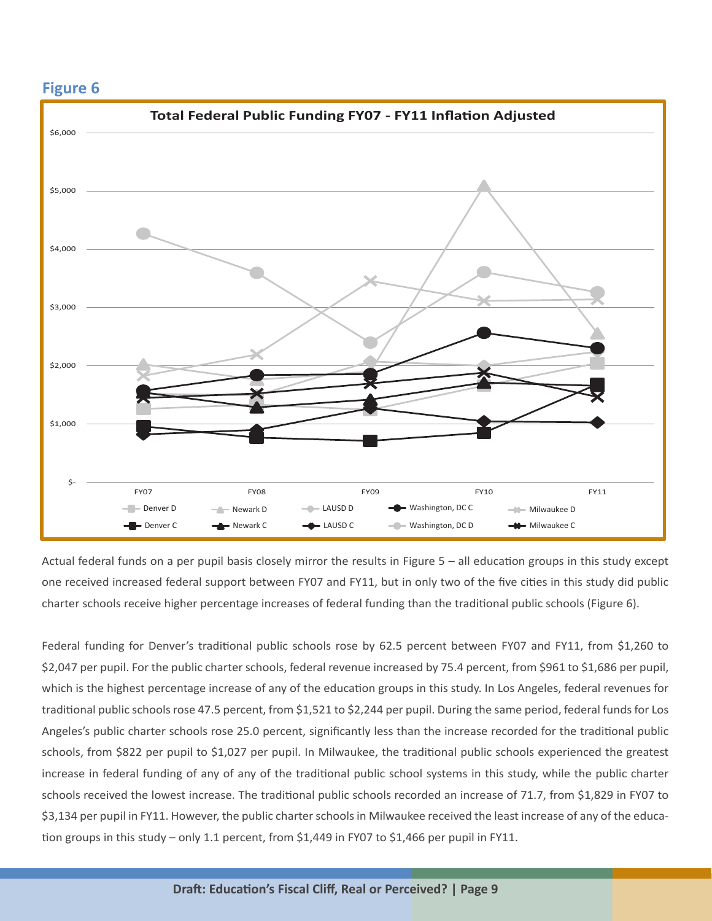

Actual federal funds on a per pupil basis closely mirror the results in Figure 5 - all education groups in this study except one received increased federal support between FY07 and FY11, but in only two of the five cities in this study did public charter schools receive higher percentage increases of federal funding than the traditional public schools (Figure 6).

Federal funding for Denver's traditional public schools rose by 62.5 percent between FY07 and FY11, from \$1,260 to \$2,047 per pupil. For the public charter schools, federal revenue increased by 75.4 percent, from \$961 to \$1,686 per pupil, which is the highest percentage increase of any of the education groups in this study. In Los Angeles, federal revenues for traditional public schools rose 47.5 percent, from \$1,521 to \$2,244 per pupil. During the same period, federal funds for Los Angeles's public charter schools rose 25.0 percent, significantly less than the increase recorded for the traditional public schools, from \$822 per pupil to \$1,027 per pupil. In Milwaukee, the traditional public schools experienced the greatest increase in federal funding of any of any of the traditional public school systems in this study, while the public charter schools received the lowest increase. The traditional public schools recorded an increase of 71.7, from \$1,829 in FY07 to \$3,134 per pupil in FY11. However, the public charter schools in Milwaukee received the least increase of any of the education groups in this study - only 1.1 percent, from \$1,449 in FY07 to \$1,466 per pupil in FY11.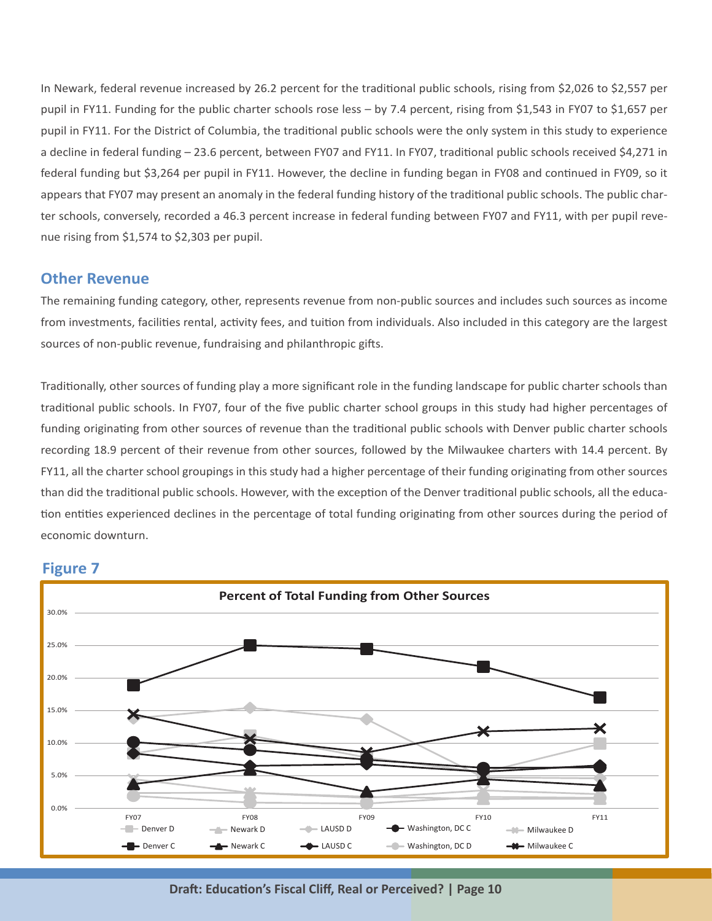In Newark, federal revenue increased by 26.2 percent for the traditional public schools, rising from \$2,026 to \$2,557 per pupil in FY11. Funding for the public charter schools rose less – by 7.4 percent, rising from \$1,543 in FY07 to \$1,657 per pupil in FY11. For the District of Columbia, the traditional public schools were the only system in this study to experience a decline in federal funding – 23.6 percent, between FY07 and FY11. In FY07, traditional public schools received \$4,271 in federal funding but \$3,264 per pupil in FY11. However, the decline in funding began in FY08 and continued in FY09, so it appears that FY07 may present an anomaly in the federal funding history of the traditional public schools. The public charter schools, conversely, recorded a 46.3 percent increase in federal funding between FY07 and FY11, with per pupil revenue rising from \$1,574 to \$2,303 per pupil.

#### **Other Revenue**

The remaining funding category, other, represents revenue from non-public sources and includes such sources as income from investments, facilities rental, activity fees, and tuition from individuals. Also included in this category are the largest sources of non-public revenue, fundraising and philanthropic gifts.

Traditionally, other sources of funding play a more significant role in the funding landscape for public charter schools than traditional public schools. In FY07, four of the five public charter school groups in this study had higher percentages of funding originating from other sources of revenue than the traditional public schools with Denver public charter schools recording 18.9 percent of their revenue from other sources, followed by the Milwaukee charters with 14.4 percent. By FY11, all the charter school groupings in this study had a higher percentage of their funding originating from other sources than did the traditional public schools. However, with the exception of the Denver traditional public schools, all the education entities experienced declines in the percentage of total funding originating from other sources during the period of economic downturn.



#### **Figure 7**

**Draft: Education's Fiscal Cliff, Real or Perceived? | Page 10**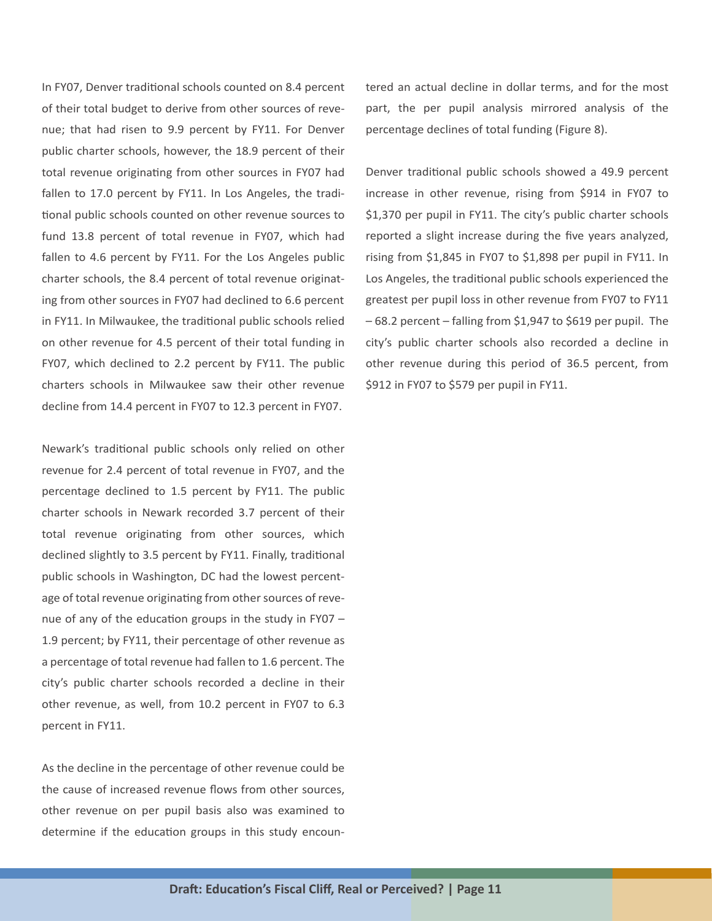In FY07, Denver traditional schools counted on 8.4 percent of their total budget to derive from other sources of revenue; that had risen to 9.9 percent by FY11. For Denver public charter schools, however, the 18.9 percent of their total revenue originating from other sources in FY07 had fallen to 17.0 percent by FY11. In Los Angeles, the traditional public schools counted on other revenue sources to fund 13.8 percent of total revenue in FY07, which had fallen to 4.6 percent by FY11. For the Los Angeles public charter schools, the 8.4 percent of total revenue originating from other sources in FY07 had declined to 6.6 percent in FY11. In Milwaukee, the traditional public schools relied on other revenue for 4.5 percent of their total funding in FY07, which declined to 2.2 percent by FY11. The public charters schools in Milwaukee saw their other revenue decline from 14.4 percent in FY07 to 12.3 percent in FY07.

Newark's traditional public schools only relied on other revenue for 2.4 percent of total revenue in FY07, and the percentage declined to 1.5 percent by FY11. The public charter schools in Newark recorded 3.7 percent of their total revenue originating from other sources, which declined slightly to 3.5 percent by FY11. Finally, traditional public schools in Washington, DC had the lowest percentage of total revenue originating from other sources of revenue of any of the education groups in the study in FY07 – 1.9 percent; by FY11, their percentage of other revenue as a percentage of total revenue had fallen to 1.6 percent. The city's public charter schools recorded a decline in their other revenue, as well, from 10.2 percent in FY07 to 6.3 percent in FY11.

As the decline in the percentage of other revenue could be the cause of increased revenue flows from other sources, other revenue on per pupil basis also was examined to determine if the education groups in this study encountered an actual decline in dollar terms, and for the most part, the per pupil analysis mirrored analysis of the percentage declines of total funding (Figure 8).

Denver traditional public schools showed a 49.9 percent increase in other revenue, rising from \$914 in FY07 to \$1,370 per pupil in FY11. The city's public charter schools reported a slight increase during the five years analyzed, rising from \$1,845 in FY07 to \$1,898 per pupil in FY11. In Los Angeles, the traditional public schools experienced the greatest per pupil loss in other revenue from FY07 to FY11 – 68.2 percent – falling from \$1,947 to \$619 per pupil. The city's public charter schools also recorded a decline in other revenue during this period of 36.5 percent, from \$912 in FY07 to \$579 per pupil in FY11.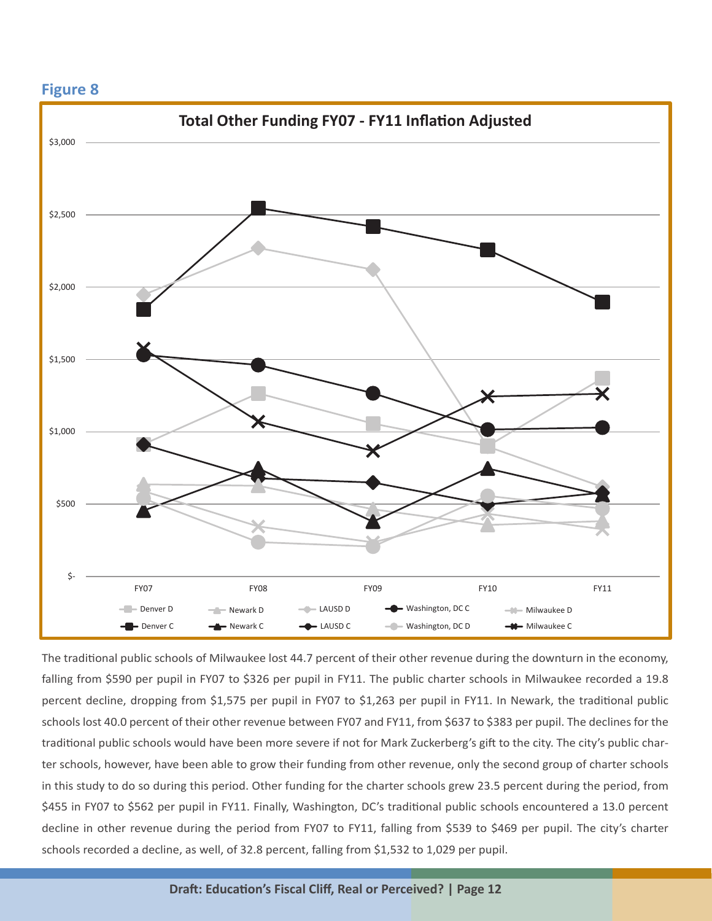

The traditional public schools of Milwaukee lost 44.7 percent of their other revenue during the downturn in the economy, falling from \$590 per pupil in FY07 to \$326 per pupil in FY11. The public charter schools in Milwaukee recorded a 19.8 percent decline, dropping from \$1,575 per pupil in FY07 to \$1,263 per pupil in FY11. In Newark, the traditional public schools lost 40.0 percent of their other revenue between FY07 and FY11, from \$637 to \$383 per pupil. The declines for the traditional public schools would have been more severe if not for Mark Zuckerberg's gift to the city. The city's public charter schools, however, have been able to grow their funding from other revenue, only the second group of charter schools in this study to do so during this period. Other funding for the charter schools grew 23.5 percent during the period, from \$455 in FY07 to \$562 per pupil in FY11. Finally, Washington, DC's traditional public schools encountered a 13.0 percent decline in other revenue during the period from FY07 to FY11, falling from \$539 to \$469 per pupil. The city's charter schools recorded a decline, as well, of 32.8 percent, falling from \$1,532 to 1,029 per pupil.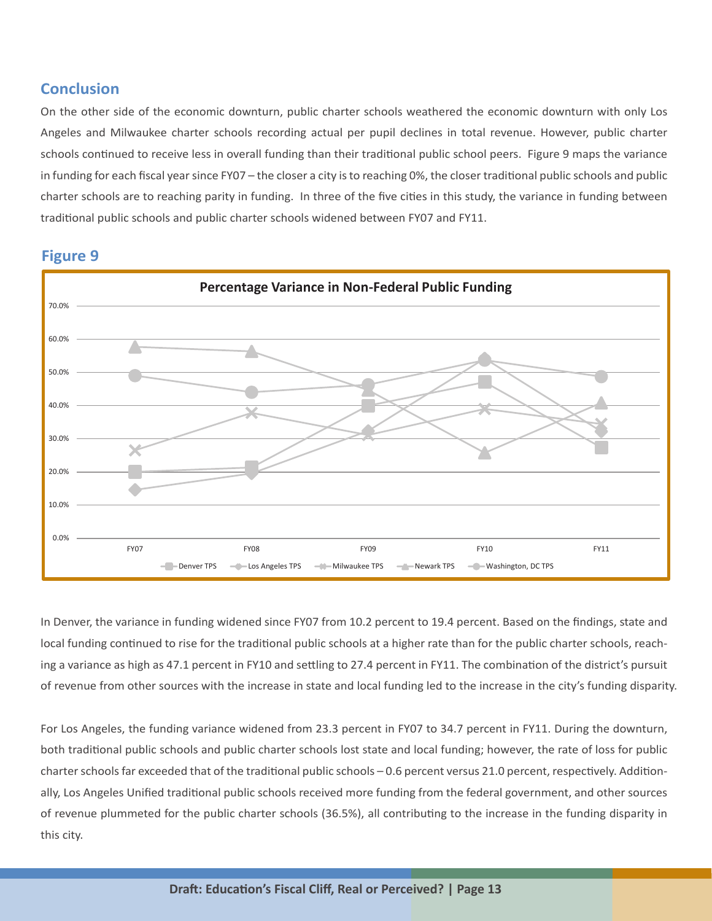#### **Conclusion**

On the other side of the economic downturn, public charter schools weathered the economic downturn with only Los Angeles and Milwaukee charter schools recording actual per pupil declines in total revenue. However, public charter schools continued to receive less in overall funding than their traditional public school peers. Figure 9 maps the variance in funding for each fiscal year since FY07 - the closer a city is to reaching 0%, the closer traditional public schools and public charter schools are to reaching parity in funding. In three of the five cities in this study, the variance in funding between traditional public schools and public charter schools widened between FY07 and FY11.



**Figure 9** 

In Denver, the variance in funding widened since FY07 from 10.2 percent to 19.4 percent. Based on the findings, state and local funding continued to rise for the traditional public schools at a higher rate than for the public charter schools, reaching a variance as high as 47.1 percent in FY10 and settling to 27.4 percent in FY11. The combination of the district's pursuit of revenue from other sources with the increase in state and local funding led to the increase in the city's funding disparity.

For Los Angeles, the funding variance widened from 23.3 percent in FY07 to 34.7 percent in FY11. During the downturn, both traditional public schools and public charter schools lost state and local funding; however, the rate of loss for public charter schools far exceeded that of the traditional public schools - 0.6 percent versus 21.0 percent, respectively. Additionally, Los Angeles Unified traditional public schools received more funding from the federal government, and other sources of revenue plummeted for the public charter schools (36.5%), all contributing to the increase in the funding disparity in this city.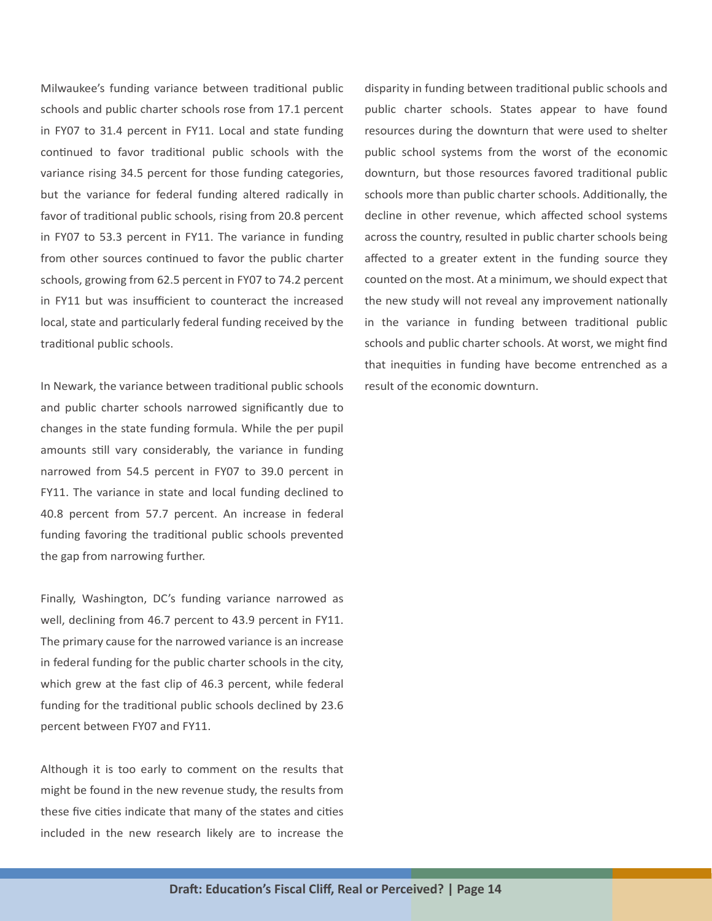Milwaukee's funding variance between traditional public schools and public charter schools rose from 17.1 percent in FY07 to 31.4 percent in FY11. Local and state funding continued to favor traditional public schools with the variance rising 34.5 percent for those funding categories, but the variance for federal funding altered radically in favor of traditional public schools, rising from 20.8 percent in FY07 to 53.3 percent in FY11. The variance in funding from other sources continued to favor the public charter schools, growing from 62.5 percent in FY07 to 74.2 percent in FY11 but was insufficient to counteract the increased local, state and particularly federal funding received by the traditional public schools.

In Newark, the variance between traditional public schools and public charter schools narrowed significantly due to changes in the state funding formula. While the per pupil amounts still vary considerably, the variance in funding narrowed from 54.5 percent in FY07 to 39.0 percent in FY11. The variance in state and local funding declined to 40.8 percent from 57.7 percent. An increase in federal funding favoring the traditional public schools prevented the gap from narrowing further.

Finally, Washington, DC's funding variance narrowed as well, declining from 46.7 percent to 43.9 percent in FY11. The primary cause for the narrowed variance is an increase in federal funding for the public charter schools in the city, which grew at the fast clip of 46.3 percent, while federal funding for the traditional public schools declined by 23.6 percent between FY07 and FY11.

Although it is too early to comment on the results that might be found in the new revenue study, the results from these five cities indicate that many of the states and cities included in the new research likely are to increase the

disparity in funding between traditional public schools and public charter schools. States appear to have found resources during the downturn that were used to shelter public school systems from the worst of the economic downturn, but those resources favored traditional public schools more than public charter schools. Additionally, the decline in other revenue, which affected school systems across the country, resulted in public charter schools being affected to a greater extent in the funding source they counted on the most. At a minimum, we should expect that the new study will not reveal any improvement nationally in the variance in funding between traditional public schools and public charter schools. At worst, we might find that inequities in funding have become entrenched as a result of the economic downturn.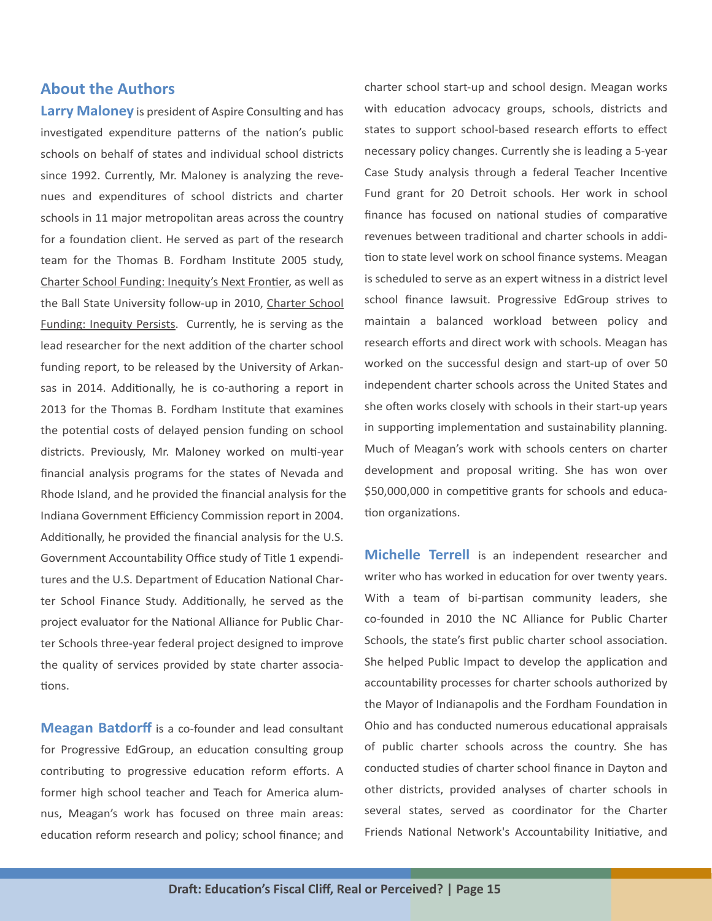#### **About the Authors**

**Larry Maloney** is president of Aspire Consulting and has investigated expenditure patterns of the nation's public schools on behalf of states and individual school districts since 1992. Currently, Mr. Maloney is analyzing the revenues and expenditures of school districts and charter schools in 11 major metropolitan areas across the country for a foundation client. He served as part of the research team for the Thomas B. Fordham Institute 2005 study, Charter School Funding: Inequity's Next Frontier, as well as the Ball State University follow-up in 2010, Charter School Funding: Inequity Persists. Currently, he is serving as the lead researcher for the next addition of the charter school funding report, to be released by the University of Arkansas in 2014. Additionally, he is co-authoring a report in 2013 for the Thomas B. Fordham Institute that examines the potential costs of delayed pension funding on school districts. Previously, Mr. Maloney worked on multi-year financial analysis programs for the states of Nevada and Rhode Island, and he provided the financial analysis for the Indiana Government Efficiency Commission report in 2004. Additionally, he provided the financial analysis for the U.S. Government Accountability Office study of Title 1 expenditures and the U.S. Department of Education National Charter School Finance Study. Additionally, he served as the project evaluator for the National Alliance for Public Charter Schools three-year federal project designed to improve the quality of services provided by state charter associations.

**Meagan Batdorff** is a co-founder and lead consultant for Progressive EdGroup, an education consulting group contributing to progressive education reform efforts. A former high school teacher and Teach for America alumnus, Meagan's work has focused on three main areas: education reform research and policy; school finance; and charter school start-up and school design. Meagan works with education advocacy groups, schools, districts and states to support school-based research efforts to effect necessary policy changes. Currently she is leading a 5-year Case Study analysis through a federal Teacher Incentive Fund grant for 20 Detroit schools. Her work in school finance has focused on national studies of comparative revenues between traditional and charter schools in addition to state level work on school finance systems. Meagan is scheduled to serve as an expert witness in a district level school finance lawsuit. Progressive EdGroup strives to maintain a balanced workload between policy and research efforts and direct work with schools. Meagan has worked on the successful design and start-up of over 50 independent charter schools across the United States and she often works closely with schools in their start-up years in supporting implementation and sustainability planning. Much of Meagan's work with schools centers on charter development and proposal writing. She has won over \$50,000,000 in competitive grants for schools and education organizations.

**Michelle Terrell** is an independent researcher and writer who has worked in education for over twenty years. With a team of bi-partisan community leaders, she co-founded in 2010 the NC Alliance for Public Charter Schools, the state's first public charter school association. She helped Public Impact to develop the application and accountability processes for charter schools authorized by the Mayor of Indianapolis and the Fordham Foundation in Ohio and has conducted numerous educational appraisals of public charter schools across the country. She has conducted studies of charter school finance in Dayton and other districts, provided analyses of charter schools in several states, served as coordinator for the Charter Friends National Network's Accountability Initiative, and